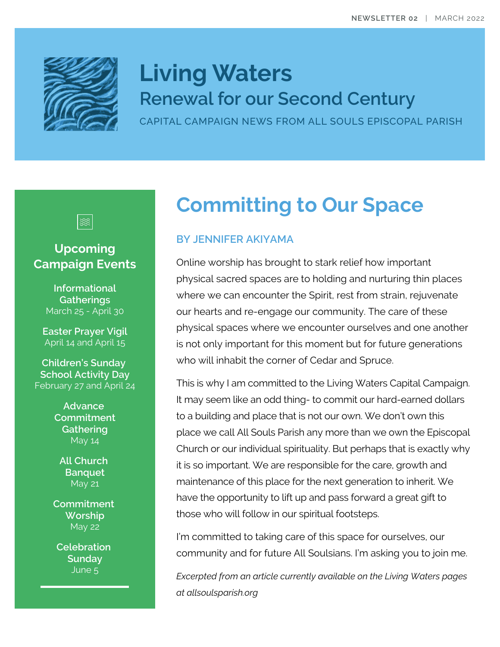

# **Living Waters Renewal for our Second Century**

CAPITAL CAMPAIGN NEWS FROM ALL SOULS EPISCOPAL PARISH



#### **Upcoming Campaign Events**

**Informational Gatherings** March 25 - April 30

**Easter Prayer Vigil** April 14 and April 15

**Children's Sunday School Activity Day** February 27 and April 24

> **Advance Commitment Gathering** May 14

**All Church Banquet** May 21

**Commitment Worship** May 22

**Celebration Sunday** June 5

## **Committing to Our Space**

#### **BY JENNIFER AKIYAMA**

Online worship has brought to stark relief how important physical sacred spaces are to holding and nurturing thin places where we can encounter the Spirit, rest from strain, rejuvenate our hearts and re-engage our community. The care of these physical spaces where we encounter ourselves and one another is not only important for this moment but for future generations who will inhabit the corner of Cedar and Spruce.

This is why I am committed to the Living Waters Capital Campaign. It may seem like an odd thing- to commit our hard-earned dollars to a building and place that is not our own. We don't own this place we call All Souls Parish any more than we own the Episcopal Church or our individual spirituality. But perhaps that is exactly why it is so important. We are responsible for the care, growth and maintenance of this place for the next generation to inherit. We have the opportunity to lift up and pass forward a great gift to those who will follow in our spiritual footsteps.

I'm committed to taking care of this space for ourselves, our community and for future All Soulsians. I'm asking you to join me.

*Excerpted from an article currently available on the Living Waters pages at allsoulsparish.org*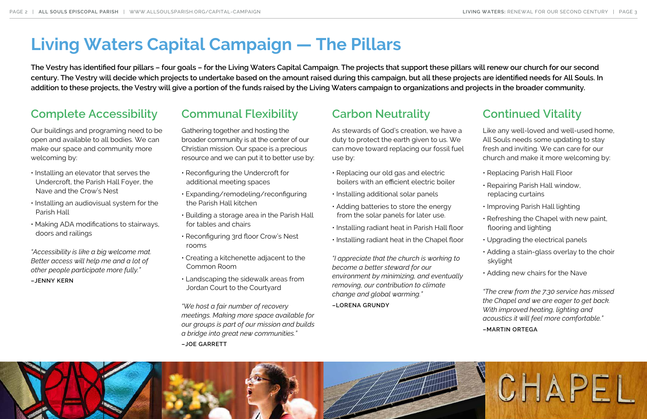### **Complete Accessibility**

Our buildings and programing need to be open and available to all bodies. We can make our space and community more welcoming by:

- Installing an elevator that serves the Undercroft, the Parish Hall Foyer, the Nave and the Crow's Nest
- Installing an audiovisual system for the Parish Hall
- Making ADA modifications to stairways, doors and railings

*"Accessibility is like a big welcome mat. Better access will help me and a lot of other people participate more fully."* **–JENNY KERN**

### **Communal Flexibility**

Gathering together and hosting the broader community is at the center of our Christian mission. Our space is a precious resource and we can put it to better use by:

- Reconfiguring the Undercroft for additional meeting spaces
- Expanding/remodeling/reconfiguring the Parish Hall kitchen
- Building a storage area in the Parish Hall for tables and chairs
- Reconfiguring 3rd floor Crow's Nest rooms
- Creating a kitchenette adjacent to the Common Room
- Landscaping the sidewalk areas from Jordan Court to the Courtyard

*"We host a fair number of recovery meetings. Making more space available for our groups is part of our mission and builds a bridge into great new communities."* **–JOE GARRETT**

## **Carbon Neutrality**

As stewards of God's creation, we have a duty to protect the earth given to us. We can move toward replacing our fossil fuel use by:

- Replacing our old gas and electric boilers with an efficient electric boiler
- Installing additional solar panels
- Adding batteries to store the energy from the solar panels for later use.
- Installing radiant heat in Parish Hall floor
- Installing radiant heat in the Chapel floor

*"I appreciate that the church is working to become a better steward for our environment by minimizing, and eventually removing, our contribution to climate change and global warming."*

**–LORENA GRUNDY**



### **Continued Vitality**

Like any well-loved and well-used home, All Souls needs some updating to stay fresh and inviting. We can care for our church and make it more welcoming by:

- Replacing Parish Hall Floor
- Repairing Parish Hall window, replacing curtains
- Improving Parish Hall lighting
- Refreshing the Chapel with new paint, flooring and lighting
- Upgrading the electrical panels
- Adding a stain-glass overlay to the choir skylight
- Adding new chairs for the Nave

*"The crew from the 7:30 service has missed the Chapel and we are eager to get back. With improved heating, lighting and acoustics it will feel more comfortable."*

#### **–MARTIN ORTEGA**

# **Living Waters Capital Campaign — The Pillars**

**The Vestry has identified four pillars – four goals – for the Living Waters Capital Campaign. The projects that support these pillars will renew our church for our second century. The Vestry will decide which projects to undertake based on the amount raised during this campaign, but all these projects are identified needs for All Souls. In addition to these projects, the Vestry will give a portion of the funds raised by the Living Waters campaign to organizations and projects in the broader community.**